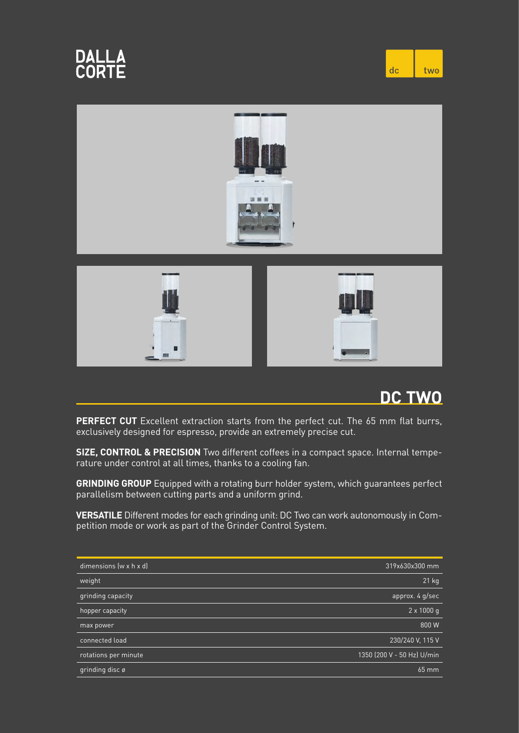





**PERFECT CUT** Excellent extraction starts from the perfect cut. The 65 mm flat burrs, exclusively designed for espresso, provide an extremely precise cut.

**SIZE, CONTROL & PRECISION** Two different coffees in a compact space. Internal temperature under control at all times, thanks to a cooling fan.

**GRINDING GROUP** Equipped with a rotating burr holder system, which guarantees perfect parallelism between cutting parts and a uniform grind.

**VERSATILE** Different modes for each grinding unit: DC Two can work autonomously in Competition mode or work as part of the Grinder Control System.

| dimensions $(w \times h \times d)$ | 319x630x300 mm             |
|------------------------------------|----------------------------|
| weight                             | $21$ kg                    |
| grinding capacity                  | approx. 4 g/sec            |
| hopper capacity                    | $2 \times 1000$ q          |
| max power                          | 800 W                      |
| connected load                     | 230/240 V, 115 V           |
| rotations per minute               | 1350 (200 V - 50 Hz) U/min |
| grinding disc ø                    | 65 mm                      |